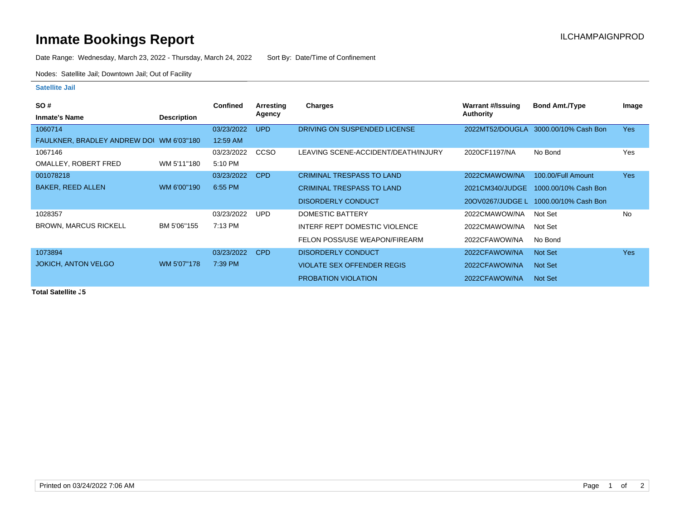## **Inmate Bookings Report Installation ILCHAMPAIGNPROD**

Date Range: Wednesday, March 23, 2022 - Thursday, March 24, 2022 Sort By: Date/Time of Confinement

Nodes: Satellite Jail; Downtown Jail; Out of Facility

## **Satellite Jail**

| <b>SO#</b>                               |                    | <b>Confined</b> | Arresting  | Charges                             | <b>Warrant #/Issuing</b> | <b>Bond Amt./Type</b> | Image      |
|------------------------------------------|--------------------|-----------------|------------|-------------------------------------|--------------------------|-----------------------|------------|
| <b>Inmate's Name</b>                     | <b>Description</b> |                 | Agency     |                                     | Authority                |                       |            |
| 1060714                                  |                    | 03/23/2022      | UPD        | DRIVING ON SUSPENDED LICENSE        | 2022MT52/DOUGLA          | 3000.00/10% Cash Bon  | <b>Yes</b> |
| FAULKNER, BRADLEY ANDREW DOI WM 6'03"180 |                    | 12:59 AM        |            |                                     |                          |                       |            |
| 1067146                                  |                    | 03/23/2022      | CCSO       | LEAVING SCENE-ACCIDENT/DEATH/INJURY | 2020CF1197/NA            | No Bond               | <b>Yes</b> |
| OMALLEY, ROBERT FRED                     | WM 5'11"180        | 5:10 PM         |            |                                     |                          |                       |            |
| 001078218                                |                    | 03/23/2022      | <b>CPD</b> | <b>CRIMINAL TRESPASS TO LAND</b>    | 2022CMAWOW/NA            | 100.00/Full Amount    | <b>Yes</b> |
| <b>BAKER, REED ALLEN</b>                 | WM 6'00"190        | 6:55 PM         |            | <b>CRIMINAL TRESPASS TO LAND</b>    | 2021CM340/JUDGE          | 1000.00/10% Cash Bon  |            |
|                                          |                    |                 |            | <b>DISORDERLY CONDUCT</b>           | 20OV0267/JUDGE L         | 1000.00/10% Cash Bon  |            |
| 1028357                                  |                    | 03/23/2022      | UPD        | DOMESTIC BATTERY                    | 2022CMAWOW/NA            | Not Set               | <b>No</b>  |
| <b>BROWN, MARCUS RICKELL</b>             | BM 5'06"155        | 7:13 PM         |            | INTERF REPT DOMESTIC VIOLENCE       | 2022CMAWOW/NA            | Not Set               |            |
|                                          |                    |                 |            | FELON POSS/USE WEAPON/FIREARM       | 2022CFAWOW/NA            | No Bond               |            |
| 1073894                                  |                    | 03/23/2022      | <b>CPD</b> | DISORDERLY CONDUCT                  | 2022CFAWOW/NA            | Not Set               | <b>Yes</b> |
| <b>JOKICH, ANTON VELGO</b>               | WM 5'07"178        | 7:39 PM         |            | VIOLATE SEX OFFENDER REGIS          | 2022CFAWOW/NA            | Not Set               |            |
|                                          |                    |                 |            | <b>PROBATION VIOLATION</b>          | 2022CFAWOW/NA            | Not Set               |            |

**Total Satellite J5**